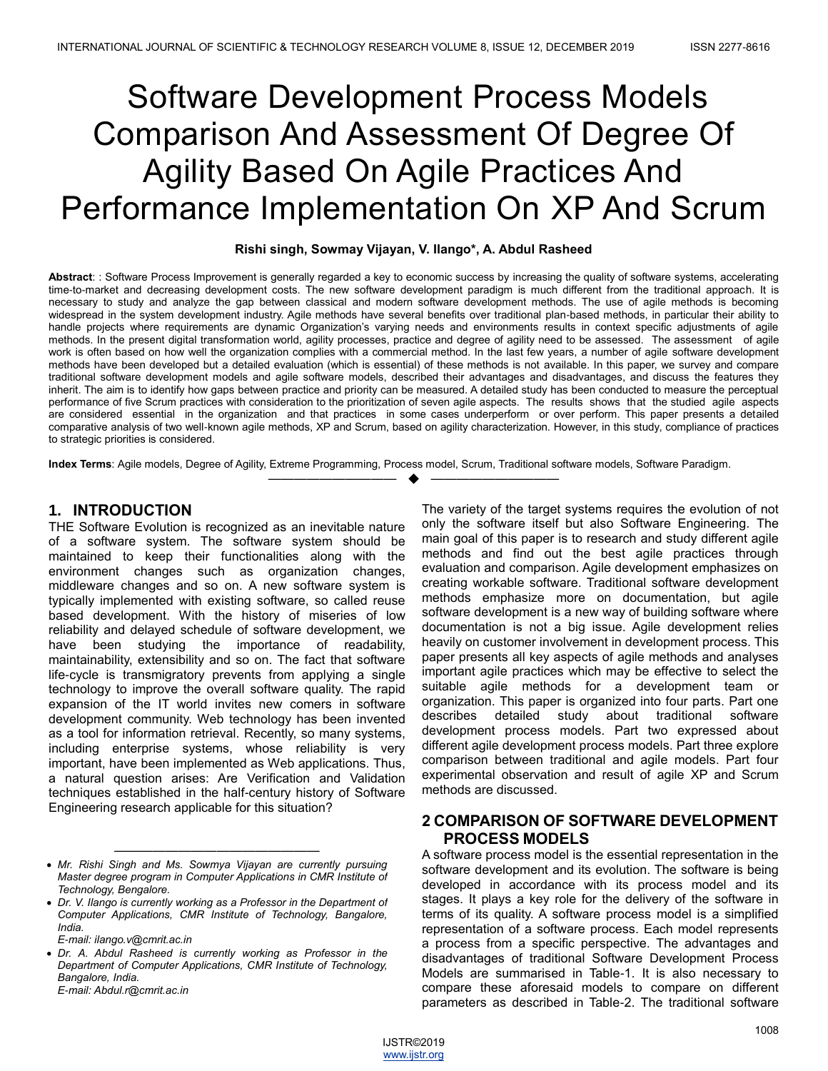# Software Development Process Models Comparison And Assessment Of Degree Of Agility Based On Agile Practices And Performance Implementation On XP And Scrum

## **Rishi singh, Sowmay Vijayan, V. Ilango\*, A. Abdul Rasheed**

**Abstract**: : Software Process Improvement is generally regarded a key to economic success by increasing the quality of software systems, accelerating time-to-market and decreasing development costs. The new software development paradigm is much different from the traditional approach. It is necessary to study and analyze the gap between classical and modern software development methods. The use of agile methods is becoming widespread in the system development industry. Agile methods have several benefits over traditional plan-based methods, in particular their ability to handle projects where requirements are dynamic Organization's varying needs and environments results in context specific adjustments of agile methods. In the present digital transformation world, agility processes, practice and degree of agility need to be assessed. The assessment of agile work is often based on how well the organization complies with a commercial method. In the last few years, a number of agile software development methods have been developed but a detailed evaluation (which is essential) of these methods is not available. In this paper, we survey and compare traditional software development models and agile software models, described their advantages and disadvantages, and discuss the features they inherit. The aim is to identify how gaps between practice and priority can be measured. A detailed study has been conducted to measure the perceptual performance of five Scrum practices with consideration to the prioritization of seven agile aspects. The results shows that the studied agile aspects are considered essential in the organization and that practices in some cases underperform or over perform. This paper presents a detailed comparative analysis of two well-known agile methods, XP and Scrum, based on agility characterization. However, in this study, compliance of practices to strategic priorities is considered.

—————————— ——————————

**Index Terms**: Agile models, Degree of Agility, Extreme Programming, Process model, Scrum, Traditional software models, Software Paradigm.

## **1. INTRODUCTION**

THE Software Evolution is recognized as an inevitable nature of a software system. The software system should be maintained to keep their functionalities along with the environment changes such as organization changes, middleware changes and so on. A new software system is typically implemented with existing software, so called reuse based development. With the history of miseries of low reliability and delayed schedule of software development, we have been studying the importance of readability, maintainability, extensibility and so on. The fact that software life-cycle is transmigratory prevents from applying a single technology to improve the overall software quality. The rapid expansion of the IT world invites new comers in software development community. Web technology has been invented as a tool for information retrieval. Recently, so many systems, including enterprise systems, whose reliability is very important, have been implemented as Web applications. Thus, a natural question arises: Are Verification and Validation techniques established in the half-century history of Software Engineering research applicable for this situation?

The variety of the target systems requires the evolution of not only the software itself but also Software Engineering. The main goal of this paper is to research and study different agile methods and find out the best agile practices through evaluation and comparison. Agile development emphasizes on creating workable software. Traditional software development methods emphasize more on documentation, but agile software development is a new way of building software where documentation is not a big issue. Agile development relies heavily on customer involvement in development process. This paper presents all key aspects of agile methods and analyses important agile practices which may be effective to select the suitable agile methods for a development team or organization. This paper is organized into four parts. Part one describes detailed study about traditional software development process models. Part two expressed about different agile development process models. Part three explore comparison between traditional and agile models. Part four experimental observation and result of agile XP and Scrum methods are discussed.

## **2 COMPARISON OF SOFTWARE DEVELOPMENT PROCESS MODELS**

A software process model is the essential representation in the software development and its evolution. The software is being developed in accordance with its process model and its stages. It plays a key role for the delivery of the software in terms of its quality. A software process model is a simplified representation of a software process. Each model represents a process from a specific perspective. The advantages and disadvantages of traditional Software Development Process Models are summarised in Table-1. It is also necessary to compare these aforesaid models to compare on different parameters as described in Table-2. The traditional software

<sup>————————————————</sup> *Mr. Rishi Singh and Ms. Sowmya Vijayan are currently pursuing Master degree program in Computer Applications in CMR Institute of Technology, Bengalore.* 

<sup>•</sup> Dr. V. Ilango is currently working as a Professor in the Department of *Computer Applications, CMR Institute of Technology, Bangalore, India.*

*E-mail: ilango.v@cmrit.ac.in*

*Dr. A. Abdul Rasheed is currently working as Professor in the Department of Computer Applications, CMR Institute of Technology, Bangalore, India. E-mail: Abdul.r@cmrit.ac.in*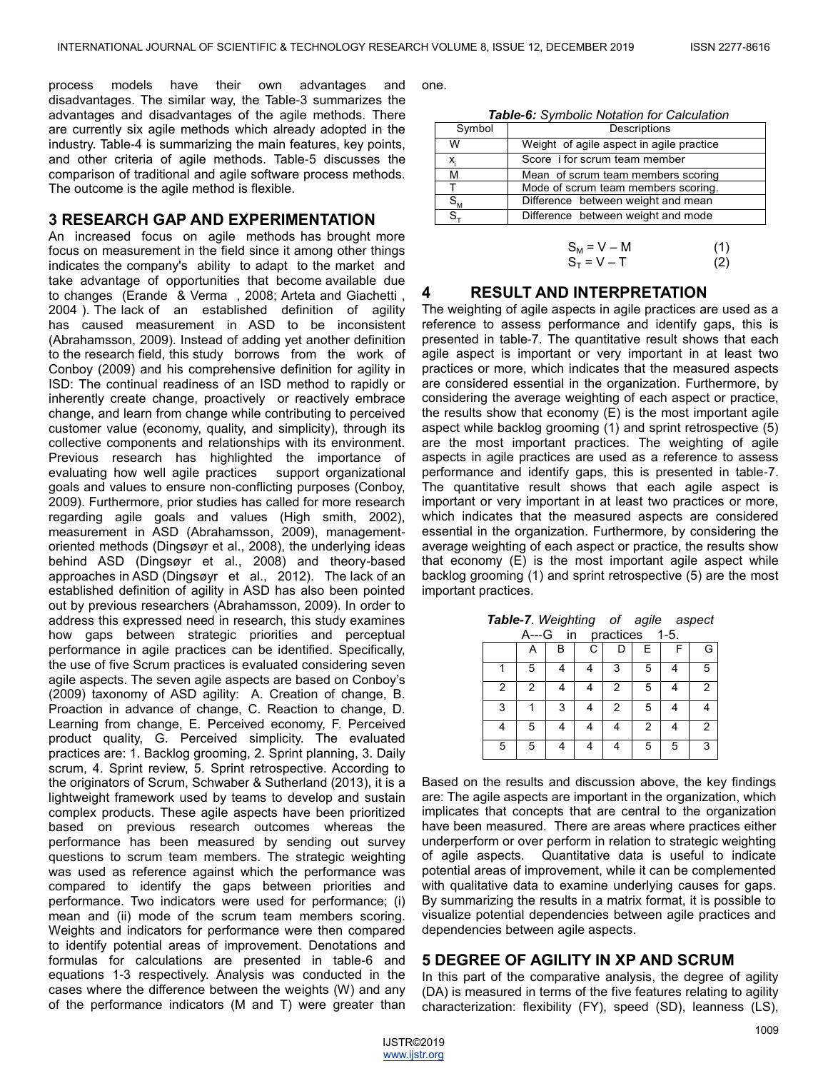process models have their own advantages and disadvantages. The similar way, the Table-3 summarizes the advantages and disadvantages of the agile methods. There are currently six agile methods which already adopted in the industry. Table-4 is summarizing the main features, key points, and other criteria of agile methods. Table-5 discusses the comparison of traditional and agile software process methods. The outcome is the agile method is flexible.

## **3 RESEARCH GAP AND EXPERIMENTATION**

An increased focus on agile methods has brought more focus on measurement in the field since it among other things indicates the company's ability to adapt to the market and take advantage of opportunities that become available due to changes (Erande & Verma , 2008; Arteta and Giachetti , 2004 ). The lack of an established definition of agility has caused measurement in ASD to be inconsistent (Abrahamsson, 2009). Instead of adding yet another definition to the research field, this study borrows from the work of Conboy (2009) and his comprehensive definition for agility in ISD: The continual readiness of an ISD method to rapidly or inherently create change, proactively or reactively embrace change, and learn from change while contributing to perceived customer value (economy, quality, and simplicity), through its collective components and relationships with its environment. Previous research has highlighted the importance of evaluating how well agile practices support organizational goals and values to ensure non-conflicting purposes (Conboy, 2009). Furthermore, prior studies has called for more research regarding agile goals and values (High smith, 2002), measurement in ASD (Abrahamsson, 2009), managementoriented methods (Dingsøyr et al., 2008), the underlying ideas behind ASD (Dingsøyr et al., 2008) and theory-based approaches in ASD (Dingsøyr et al., 2012). The lack of an established definition of agility in ASD has also been pointed out by previous researchers (Abrahamsson, 2009). In order to address this expressed need in research, this study examines how gaps between strategic priorities and perceptual performance in agile practices can be identified. Specifically, the use of five Scrum practices is evaluated considering seven agile aspects. The seven agile aspects are based on Conboy's (2009) taxonomy of ASD agility: A. Creation of change, B. Proaction in advance of change, C. Reaction to change, D. Learning from change, E. Perceived economy, F. Perceived product quality, G. Perceived simplicity. The evaluated practices are: 1. Backlog grooming, 2. Sprint planning, 3. Daily scrum, 4. Sprint review, 5. Sprint retrospective. According to the originators of Scrum, Schwaber & Sutherland (2013), it is a lightweight framework used by teams to develop and sustain complex products. These agile aspects have been prioritized based on previous research outcomes whereas the performance has been measured by sending out survey questions to scrum team members. The strategic weighting was used as reference against which the performance was compared to identify the gaps between priorities and performance. Two indicators were used for performance; (i) mean and (ii) mode of the scrum team members scoring. Weights and indicators for performance were then compared to identify potential areas of improvement. Denotations and formulas for calculations are presented in table-6 and equations 1-3 respectively. Analysis was conducted in the cases where the difference between the weights (W) and any of the performance indicators (M and T) were greater than

one.

*Table-6: Symbolic Notation for Calculation*

| Symbol     | Descriptions                             |  |  |
|------------|------------------------------------------|--|--|
| W          | Weight of agile aspect in agile practice |  |  |
| X.         | Score i for scrum team member            |  |  |
| М          | Mean of scrum team members scoring       |  |  |
|            | Mode of scrum team members scoring.      |  |  |
| $S_{M}$    | Difference between weight and mean       |  |  |
| $S_{\tau}$ | Difference between weight and mode       |  |  |
|            |                                          |  |  |

$$
S_M = V - M \tag{1}
$$
  
\n
$$
S_T = V - T \tag{2}
$$

## **4 RESULT AND INTERPRETATION**

The weighting of agile aspects in agile practices are used as a reference to assess performance and identify gaps, this is presented in table-7. The quantitative result shows that each agile aspect is important or very important in at least two practices or more, which indicates that the measured aspects are considered essential in the organization. Furthermore, by considering the average weighting of each aspect or practice, the results show that economy (E) is the most important agile aspect while backlog grooming (1) and sprint retrospective (5) are the most important practices. The weighting of agile aspects in agile practices are used as a reference to assess performance and identify gaps, this is presented in table-7. The quantitative result shows that each agile aspect is important or very important in at least two practices or more, which indicates that the measured aspects are considered essential in the organization. Furthermore, by considering the average weighting of each aspect or practice, the results show that economy (E) is the most important agile aspect while backlog grooming (1) and sprint retrospective (5) are the most important practices.

| A---G<br>$1-5.$<br>practices<br>in |   |   |   |                |   |   |   |
|------------------------------------|---|---|---|----------------|---|---|---|
|                                    | А | B | C | D              | E |   | G |
|                                    | 5 | 4 |   | 3              | 5 |   | 5 |
| 2                                  | 2 | 4 | 4 | $\overline{2}$ | 5 |   | 2 |
| 3                                  |   | 3 | 4 | $\mathcal{P}$  | 5 |   |   |
|                                    | 5 | 4 |   |                | 2 |   | 2 |
| 5                                  | 5 | 4 | 4 | Δ              | 5 | 5 | 3 |

*Table-7. Weighting of agile aspect* 

Based on the results and discussion above, the key findings are: The agile aspects are important in the organization, which implicates that concepts that are central to the organization have been measured. There are areas where practices either underperform or over perform in relation to strategic weighting of agile aspects. Quantitative data is useful to indicate potential areas of improvement, while it can be complemented with qualitative data to examine underlying causes for gaps. By summarizing the results in a matrix format, it is possible to visualize potential dependencies between agile practices and dependencies between agile aspects.

## **5 DEGREE OF AGILITY IN XP AND SCRUM**

In this part of the comparative analysis, the degree of agility (DA) is measured in terms of the five features relating to agility characterization: flexibility (FY), speed (SD), leanness (LS),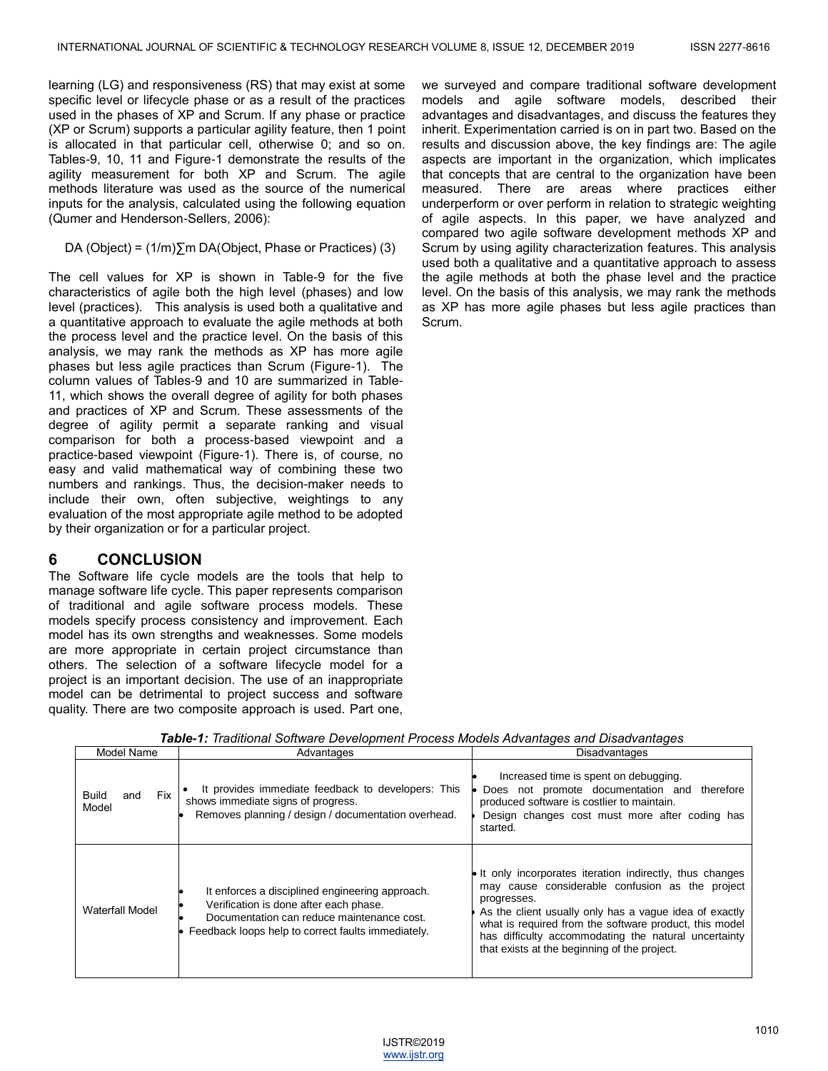learning (LG) and responsiveness (RS) that may exist at some specific level or lifecycle phase or as a result of the practices used in the phases of XP and Scrum. If any phase or practice (XP or Scrum) supports a particular agility feature, then 1 point is allocated in that particular cell, otherwise 0; and so on. Tables-9, 10, 11 and Figure-1 demonstrate the results of the agility measurement for both XP and Scrum. The agile methods literature was used as the source of the numerical inputs for the analysis, calculated using the following equation (Qumer and Henderson-Sellers, 2006):

DA (Object) =  $(1/m)\sum m$  DA(Object, Phase or Practices) (3)

The cell values for XP is shown in Table-9 for the five characteristics of agile both the high level (phases) and low level (practices). This analysis is used both a qualitative and a quantitative approach to evaluate the agile methods at both the process level and the practice level. On the basis of this analysis, we may rank the methods as XP has more agile phases but less agile practices than Scrum (Figure-1). The column values of Tables-9 and 10 are summarized in Table-11, which shows the overall degree of agility for both phases and practices of XP and Scrum. These assessments of the degree of agility permit a separate ranking and visual comparison for both a process-based viewpoint and a practice-based viewpoint (Figure-1). There is, of course, no easy and valid mathematical way of combining these two numbers and rankings. Thus, the decision-maker needs to include their own, often subjective, weightings to any evaluation of the most appropriate agile method to be adopted by their organization or for a particular project.

## **6 CONCLUSION**

The Software life cycle models are the tools that help to manage software life cycle. This paper represents comparison of traditional and agile software process models. These models specify process consistency and improvement. Each model has its own strengths and weaknesses. Some models are more appropriate in certain project circumstance than others. The selection of a software lifecycle model for a project is an important decision. The use of an inappropriate model can be detrimental to project success and software quality. There are two composite approach is used. Part one, we surveyed and compare traditional software development models and agile software models, described their advantages and disadvantages, and discuss the features they inherit. Experimentation carried is on in part two. Based on the results and discussion above, the key findings are: The agile aspects are important in the organization, which implicates that concepts that are central to the organization have been measured. There are areas where practices either underperform or over perform in relation to strategic weighting of agile aspects. In this paper, we have analyzed and compared two agile software development methods XP and Scrum by using agility characterization features. This analysis used both a qualitative and a quantitative approach to assess the agile methods at both the phase level and the practice level. On the basis of this analysis, we may rank the methods as XP has more agile phases but less agile practices than Scrum.

| Model Name                          | Advantages                                                                                                                                                                                    | Disadvantages                                                                                                                                                                                                                                                                                                                                            |  |  |
|-------------------------------------|-----------------------------------------------------------------------------------------------------------------------------------------------------------------------------------------------|----------------------------------------------------------------------------------------------------------------------------------------------------------------------------------------------------------------------------------------------------------------------------------------------------------------------------------------------------------|--|--|
| <b>Fix</b><br>Build<br>and<br>Model | It provides immediate feedback to developers: This<br>shows immediate signs of progress.<br>Removes planning / design / documentation overhead.                                               | Increased time is spent on debugging.<br>Does not promote documentation and therefore<br>produced software is costlier to maintain.<br>Design changes cost must more after coding has<br>started.                                                                                                                                                        |  |  |
| Waterfall Model                     | It enforces a disciplined engineering approach.<br>Verification is done after each phase.<br>Documentation can reduce maintenance cost.<br>Feedback loops help to correct faults immediately. | In It only incorporates iteration indirectly, thus changes<br>may cause considerable confusion as the project<br>progresses.<br>As the client usually only has a vague idea of exactly<br>what is required from the software product, this model<br>has difficulty accommodating the natural uncertainty<br>that exists at the beginning of the project. |  |  |

*Table-1: Traditional Software Development Process Models Advantages and Disadvantages*

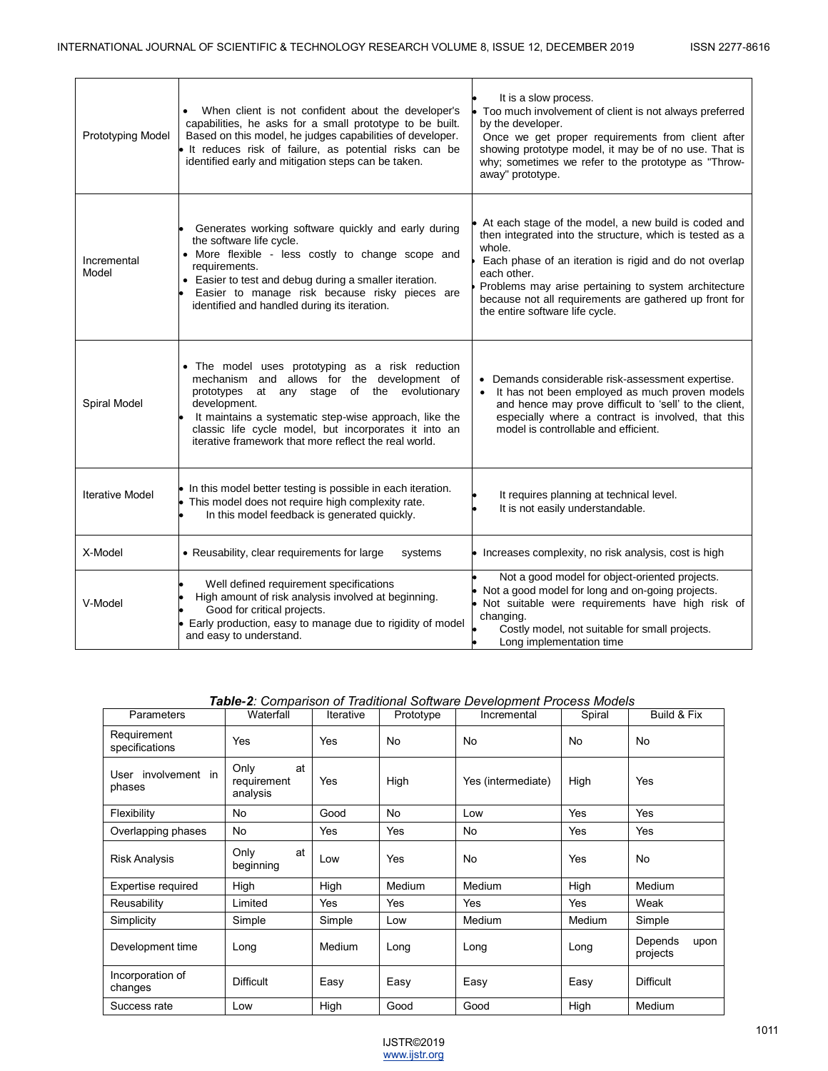| Prototyping Model      | When client is not confident about the developer's<br>capabilities, he asks for a small prototype to be built.<br>Based on this model, he judges capabilities of developer.<br>· It reduces risk of failure, as potential risks can be<br>identified early and mitigation steps can be taken.                                                       | It is a slow process.<br>Too much involvement of client is not always preferred<br>by the developer.<br>Once we get proper requirements from client after<br>showing prototype model, it may be of no use. That is<br>why; sometimes we refer to the prototype as "Throw-<br>away" prototype.                                                            |
|------------------------|-----------------------------------------------------------------------------------------------------------------------------------------------------------------------------------------------------------------------------------------------------------------------------------------------------------------------------------------------------|----------------------------------------------------------------------------------------------------------------------------------------------------------------------------------------------------------------------------------------------------------------------------------------------------------------------------------------------------------|
| Incremental<br>Model   | Generates working software quickly and early during<br>the software life cycle.<br>• More flexible - less costly to change scope and<br>requirements.<br>• Easier to test and debug during a smaller iteration.<br>Easier to manage risk because risky pieces are<br>identified and handled during its iteration.                                   | At each stage of the model, a new build is coded and<br>then integrated into the structure, which is tested as a<br>whole.<br>Each phase of an iteration is rigid and do not overlap<br>each other.<br>Problems may arise pertaining to system architecture<br>because not all requirements are gathered up front for<br>the entire software life cycle. |
| Spiral Model           | • The model uses prototyping as a risk reduction<br>mechanism and allows for the development of<br>evolutionary<br>prototypes<br>at any stage<br>of the<br>development.<br>It maintains a systematic step-wise approach, like the<br>classic life cycle model, but incorporates it into an<br>iterative framework that more reflect the real world. | • Demands considerable risk-assessment expertise.<br>It has not been employed as much proven models<br>and hence may prove difficult to 'sell' to the client,<br>especially where a contract is involved, that this<br>model is controllable and efficient.                                                                                              |
| <b>Iterative Model</b> | • In this model better testing is possible in each iteration.<br>This model does not require high complexity rate.<br>In this model feedback is generated quickly.                                                                                                                                                                                  | It requires planning at technical level.<br>It is not easily understandable.                                                                                                                                                                                                                                                                             |
| X-Model                | • Reusability, clear requirements for large<br>systems                                                                                                                                                                                                                                                                                              | • Increases complexity, no risk analysis, cost is high                                                                                                                                                                                                                                                                                                   |
| V-Model                | Well defined requirement specifications<br>High amount of risk analysis involved at beginning.<br>Good for critical projects.<br>Early production, easy to manage due to rigidity of model<br>and easy to understand.                                                                                                                               | Not a good model for object-oriented projects.<br>Not a good model for long and on-going projects.<br>· Not suitable were requirements have high risk of<br>changing.<br>Costly model, not suitable for small projects.<br>Long implementation time                                                                                                      |

*Table-2: Comparison of Traditional Software Development Process Models*

| Parameters                    | Waterfall                             | Iterative | Prototype | Incremental        | Spiral    | Build & Fix                 |
|-------------------------------|---------------------------------------|-----------|-----------|--------------------|-----------|-----------------------------|
| Requirement<br>specifications | Yes                                   | Yes       | No        | No                 | <b>No</b> | No                          |
| User involvement in<br>phases | Only<br>at<br>requirement<br>analysis | Yes       | High      | Yes (intermediate) | High      | Yes                         |
| Flexibility                   | No                                    | Good      | No        | Low                | Yes       | Yes                         |
| Overlapping phases            | <b>No</b>                             | Yes       | Yes       | No                 | Yes       | Yes                         |
| <b>Risk Analysis</b>          | Only<br>at<br>beginning               | Low       | Yes       | No                 | Yes       | <b>No</b>                   |
| Expertise required            | High                                  | High      | Medium    | Medium             | High      | Medium                      |
| Reusability                   | Limited                               | Yes       | Yes       | Yes                | Yes       | Weak                        |
| Simplicity                    | Simple                                | Simple    | Low       | Medium             | Medium    | Simple                      |
| Development time              | Long                                  | Medium    | Long      | Long               | Long      | Depends<br>upon<br>projects |
| Incorporation of<br>changes   | <b>Difficult</b>                      | Easy      | Easy      | Easy               | Easy      | <b>Difficult</b>            |
| Success rate                  | Low                                   | High      | Good      | Good               | High      | Medium                      |

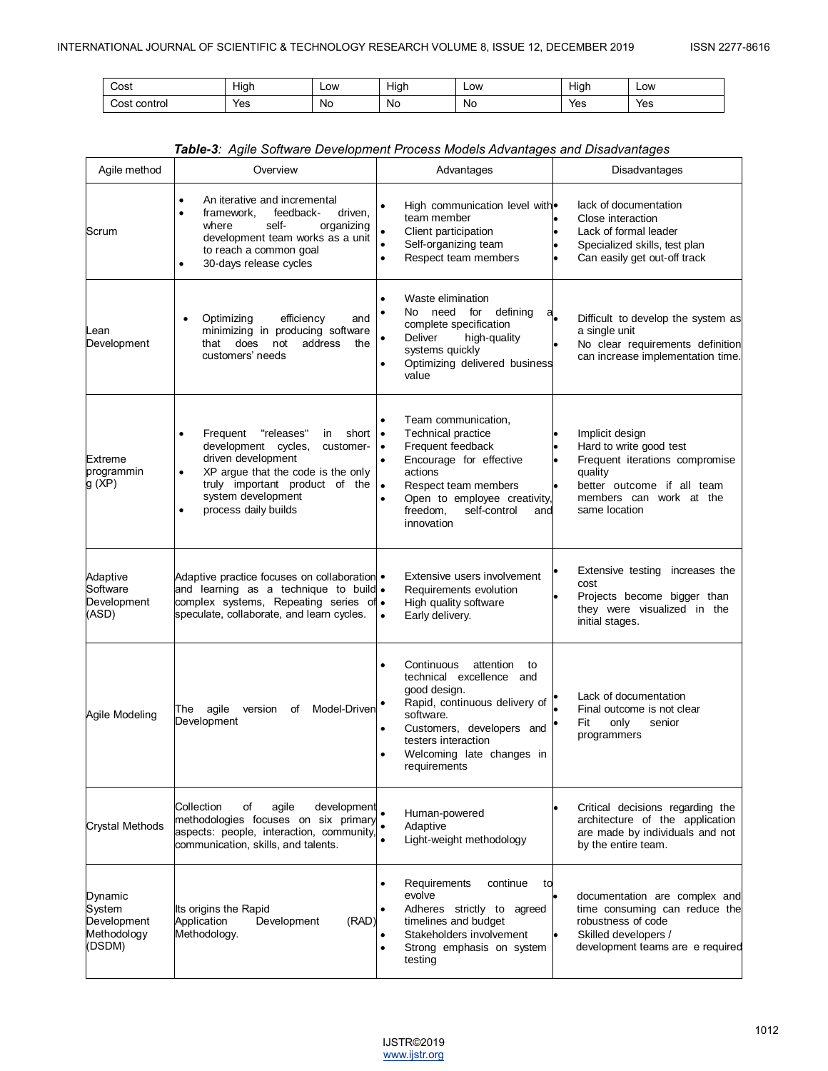| Cost            | <br>Hiar | Low | $\cdots$<br>Hiar<br> | Low | <br>Hıar | Low |
|-----------------|----------|-----|----------------------|-----|----------|-----|
| control<br>COS. | Yes      | No  | Nο                   | N0  | Yes      | Yes |

| Agile method                                              | Overview                                                                                                                                                                                                                                         | Advantages                                                                                                                                                                                                                                                                          | Disadvantages                                                                                                                                                     |
|-----------------------------------------------------------|--------------------------------------------------------------------------------------------------------------------------------------------------------------------------------------------------------------------------------------------------|-------------------------------------------------------------------------------------------------------------------------------------------------------------------------------------------------------------------------------------------------------------------------------------|-------------------------------------------------------------------------------------------------------------------------------------------------------------------|
| Scrum                                                     | An iterative and incremental<br>٠<br>feedback-<br>framework,<br>driven,<br>where<br>self-<br>organizing<br>development team works as a unit<br>to reach a common goal<br>30-days release cycles<br>$\bullet$                                     | High communication level with.<br>team member<br>Client participation<br>٠<br>$\bullet$<br>Self-organizing team<br>Respect team members<br>$\bullet$                                                                                                                                | lack of documentation<br>Close interaction<br>Lack of formal leader<br>Specialized skills, test plan<br>Can easily get out-off track                              |
| Lean<br>Development                                       | Optimizing<br>efficiency<br>and<br>minimizing in producing software<br>not<br>address<br>that does<br>the<br>customers' needs                                                                                                                    | Waste elimination<br>No need for defining<br>aL<br>complete specification<br>Deliver<br>high-quality<br>٠<br>systems quickly<br>Optimizing delivered business<br>value                                                                                                              | Difficult to develop the system as<br>a single unit<br>No clear requirements definition<br>can increase implementation time.                                      |
| Extreme<br>programmin<br>g (XP)                           | "releases"<br>Frequent<br>short<br>in.<br>development cycles,<br>customer-<br>driven development<br>XP arque that the code is the only<br>$\bullet$<br>truly important product of the<br>system development<br>process daily builds<br>$\bullet$ | Team communication,<br>٠<br>Technical practice<br>$\bullet$<br>Frequent feedback<br>$\bullet$<br>Encourage for effective<br>$\bullet$<br>actions<br>$\bullet$<br>Respect team members<br>Open to employee creativity,<br>$\bullet$<br>freedom,<br>self-control<br>and<br>innovation | Implicit design<br>Hard to write good test<br>Frequent iterations compromise<br>quality<br>better outcome if all team<br>members can work at the<br>same location |
| Adaptive<br>Software<br>Development<br>(ASD)              | Adaptive practice focuses on collaboration .<br>and learning as a technique to build .<br>complex systems, Repeating series of.<br>speculate, collaborate, and learn cycles.                                                                     | Extensive users involvement<br>Requirements evolution<br>High quality software<br>Early delivery.<br>$\bullet$                                                                                                                                                                      | Extensive testing increases the<br>cost<br>Projects become bigger than<br>they were visualized in the<br>initial stages.                                          |
| Agile Modeling                                            | agile<br>version<br>of<br>Model-Driven<br>The<br>Development                                                                                                                                                                                     | Continuous<br>attention<br>to<br>٠<br>technical excellence and<br>good design.<br>Rapid, continuous delivery of<br>software.<br>Customers, developers and<br>testers interaction<br>Welcoming late changes in<br>requirements                                                       | Lack of documentation<br>Final outcome is not clear<br>Fit<br>only<br>senior<br>programmers                                                                       |
| Crystal Methods                                           | Collection<br>of<br>agile<br>development<br>methodologies focuses on six primary<br>aspects: people, interaction, community,<br>communication, skills, and talents.                                                                              | Human-powered<br>Adaptive<br>Light-weight methodology                                                                                                                                                                                                                               | Critical decisions regarding the<br>architecture of the application<br>are made by individuals and not<br>by the entire team.                                     |
| Dynamic<br>System<br>Development<br>Methodology<br>(DSDM) | Its origins the Rapid<br>Application<br>Development<br>(RAD)<br>Methodology.                                                                                                                                                                     | Requirements<br>continue<br>to<br>evolve<br>Adheres strictly to agreed<br>timelines and budget<br>Stakeholders involvement<br>Strong emphasis on system<br>$\bullet$<br>testing                                                                                                     | documentation are complex and<br>time consuming can reduce the<br>robustness of code<br>Skilled developers /<br>development teams are e required                  |

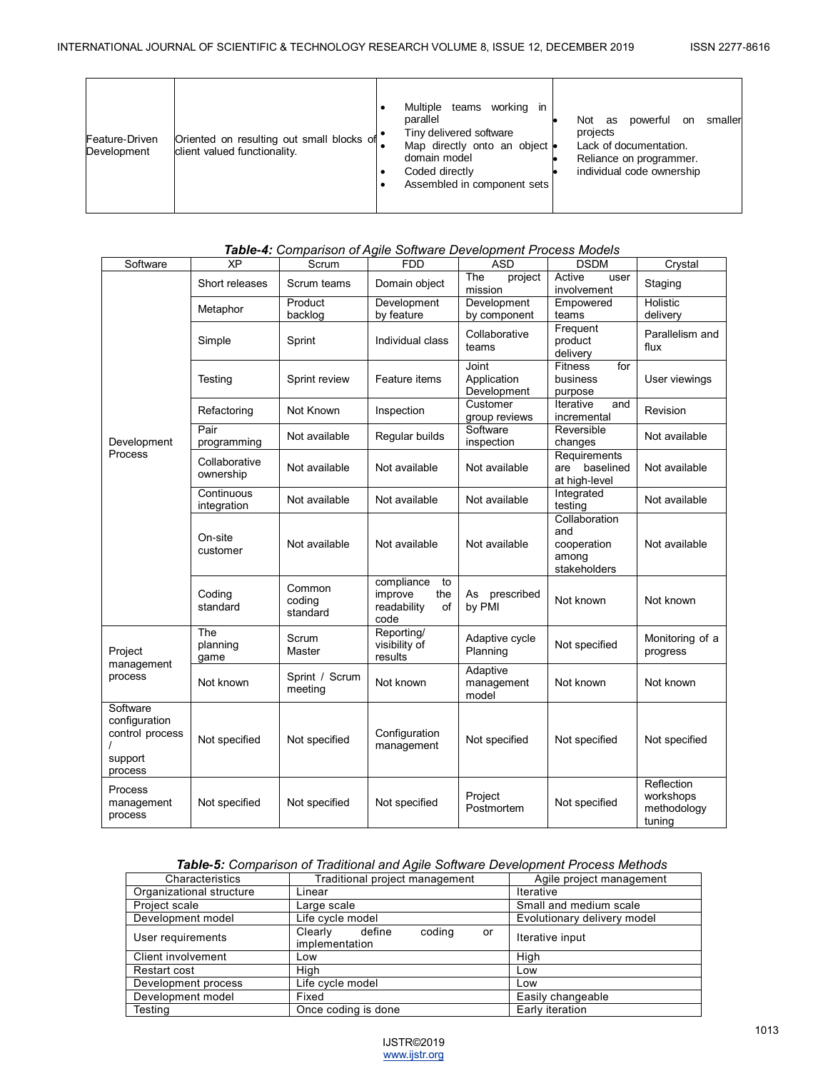| Oriented on resulting out small blocks of<br>Feature-Driven<br>client valued functionality.<br>Development | Multiple<br>teams working in<br>parallel<br>powerful<br>smaller<br>Not<br>as<br>on<br>Tiny delivered software<br>projects<br>Lack of documentation.<br>Map directly onto an object<br>domain model<br>Reliance on programmer.<br>individual code ownership<br>Coded directly<br>Assembled in component sets |
|------------------------------------------------------------------------------------------------------------|-------------------------------------------------------------------------------------------------------------------------------------------------------------------------------------------------------------------------------------------------------------------------------------------------------------|
|------------------------------------------------------------------------------------------------------------|-------------------------------------------------------------------------------------------------------------------------------------------------------------------------------------------------------------------------------------------------------------------------------------------------------------|

## *Table-4: Comparison of Agile Software Development Process Models*

| Software                                                                       | XP                         | Scrum                        | <b>FDD</b>                                                      | ASD                                 | <b>DSDM</b>                                                  | Crystal                                          |
|--------------------------------------------------------------------------------|----------------------------|------------------------------|-----------------------------------------------------------------|-------------------------------------|--------------------------------------------------------------|--------------------------------------------------|
|                                                                                | Short releases             | Scrum teams                  | Domain object                                                   | The<br>project<br>mission           | Active<br>user<br>involvement                                | Staging                                          |
|                                                                                | Metaphor                   | Product<br>backlog           | Development<br>by feature                                       | Development<br>by component         | Empowered<br>teams                                           | Holistic<br>delivery                             |
|                                                                                | Simple                     | Sprint                       | Individual class                                                | Collaborative<br>teams              | Frequent<br>product<br>delivery                              | Parallelism and<br>flux                          |
|                                                                                | Testing                    | Sprint review                | Feature items                                                   | Joint<br>Application<br>Development | for<br><b>Fitness</b><br>business<br>purpose                 | User viewings                                    |
|                                                                                | Refactoring                | Not Known                    | Inspection                                                      | Customer<br>group reviews           | Iterative<br>and<br>incremental                              | Revision                                         |
| Development                                                                    | Pair<br>programming        | Not available                | Regular builds                                                  | Software<br>inspection              | Reversible<br>changes                                        | Not available                                    |
| Process                                                                        | Collaborative<br>ownership | Not available                | Not available                                                   | Not available                       | Requirements<br>baselined<br>are<br>at high-level            | Not available                                    |
|                                                                                | Continuous<br>integration  | Not available                | Not available                                                   | Not available                       | Integrated<br>testing                                        | Not available                                    |
|                                                                                | On-site<br>customer        | Not available                | Not available                                                   | Not available                       | Collaboration<br>and<br>cooperation<br>among<br>stakeholders | Not available                                    |
|                                                                                | Coding<br>standard         | Common<br>coding<br>standard | compliance<br>to<br>improve<br>the<br>readability<br>of<br>code | As<br>prescribed<br>by PMI          | Not known                                                    | Not known                                        |
| Project                                                                        | The<br>planning<br>game    | Scrum<br>Master              | Reporting/<br>visibility of<br>results                          | Adaptive cycle<br>Planning          | Not specified                                                | Monitoring of a<br>progress                      |
| management<br>process                                                          | Not known                  | Sprint / Scrum<br>meeting    | Not known                                                       | Adaptive<br>management<br>model     | Not known                                                    | Not known                                        |
| Software<br>configuration<br>control process<br>$\prime$<br>support<br>process | Not specified              | Not specified                | Configuration<br>management                                     | Not specified                       | Not specified                                                | Not specified                                    |
| Process<br>management<br>process                                               | Not specified              | Not specified                | Not specified                                                   | Project<br>Postmortem               | Not specified                                                | Reflection<br>workshops<br>methodology<br>tuning |

## *Table-5: Comparison of Traditional and Agile Software Development Process Methods*

| Characteristics          | Traditional project management                      | Agile project management    |
|--------------------------|-----------------------------------------------------|-----------------------------|
| Organizational structure | Linear                                              | <b>Iterative</b>            |
| Project scale            | Large scale                                         | Small and medium scale      |
| Development model        | Life cycle model                                    | Evolutionary delivery model |
| User requirements        | coding<br>define<br>Clearly<br>or<br>implementation | Iterative input             |
| Client involvement       | Low                                                 | High                        |
| Restart cost             | High                                                | Low                         |
| Development process      | Life cycle model                                    | Low                         |
| Development model        | Fixed                                               | Easily changeable           |
| Testing                  | Once coding is done                                 | Early iteration             |

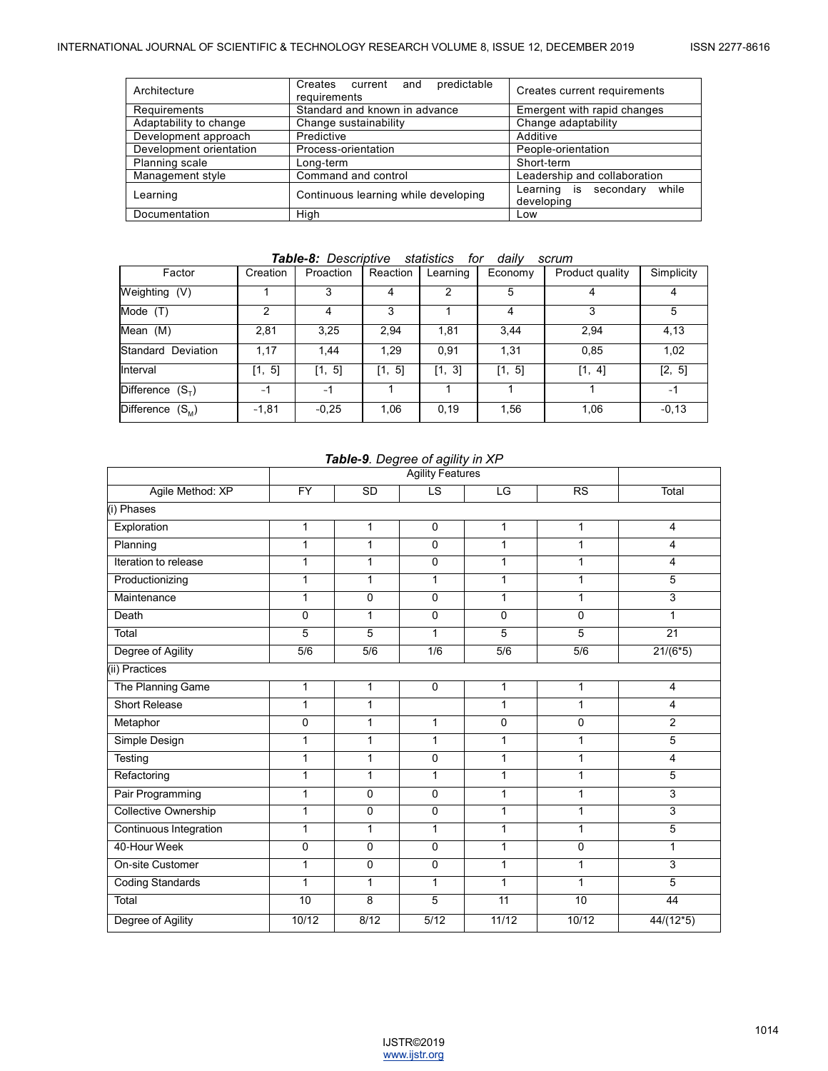| Architecture            | Creates current and predictable<br>requirements | Creates current requirements              |  |
|-------------------------|-------------------------------------------------|-------------------------------------------|--|
| Requirements            | Standard and known in advance                   | Emergent with rapid changes               |  |
| Adaptability to change  | Change sustainability                           | Change adaptability                       |  |
| Development approach    | Predictive                                      | Additive                                  |  |
| Development orientation | Process-orientation                             | People-orientation                        |  |
| Planning scale          | Long-term                                       | Short-term                                |  |
| Management style        | Command and control                             | Leadership and collaboration              |  |
| Learning                | Continuous learning while developing            | Learning is secondary while<br>developing |  |
| Documentation           | High                                            | Low                                       |  |

## *Table-8: Descriptive statistics for daily scrum*

| Factor                         | Creation | Proaction | Reaction | Learning      | Economy | Product quality | Simplicity |
|--------------------------------|----------|-----------|----------|---------------|---------|-----------------|------------|
| Weighting (V)                  |          | 3         | 4        | $\mathcal{P}$ | 5       | 4               | 4          |
| Mode<br>(T)                    | 2        | 4         | 3        |               | 4       | 3               | 5          |
| Mean (M)                       | 2,81     | 3,25      | 2,94     | 1,81          | 3,44    | 2,94            | 4,13       |
| Standard Deviation             | 1,17     | 1.44      | 1.29     | 0,91          | 1,31    | 0,85            | 1,02       |
| Interval                       | [1, 5]   | [1, 5]    | [1, 5]   | [1, 3]        | [1, 5]  | [1, 4]          | [2, 5]     |
| Difference $(S_{\tau})$        | $-1$     | $-1$      |          |               |         |                 | $-1$       |
| <b>Difference</b><br>$(S_{M})$ | $-1,81$  | $-0.25$   | 1,06     | 0,19          | 1,56    | 1,06            | $-0,13$    |

#### *Table-9. Degree of agility in XP*

|                             | - - - - <sub>-</sub> - -<br><b>Agility Features</b> |                  |                  |                 |                |                 |  |
|-----------------------------|-----------------------------------------------------|------------------|------------------|-----------------|----------------|-----------------|--|
| Agile Method: XP            | $\overline{FY}$                                     | SD               | LS               | LG              | RS             | Total           |  |
| (i) Phases                  |                                                     |                  |                  |                 |                |                 |  |
| Exploration                 | 1                                                   | 1                | $\mathbf 0$      | 1               | 1              | 4               |  |
| Planning                    | 1                                                   | 1                | 0                | $\mathbf{1}$    | 1              | 4               |  |
| Iteration to release        | 1                                                   | 1                | 0                | 1               | 1              | 4               |  |
| Productionizing             | 1                                                   | $\mathbf{1}$     | 1                | 1               | 1              | 5               |  |
| Maintenance                 | 1                                                   | $\overline{0}$   | 0                | 1               | 1              | 3               |  |
| Death                       | 0                                                   | $\mathbf{1}$     | $\pmb{0}$        | 0               | $\mathbf 0$    |                 |  |
| Total                       | 5                                                   | 5                | 1                | 5               | $\overline{5}$ | $\overline{21}$ |  |
| Degree of Agility           | $\overline{5/6}$                                    | $\overline{5/6}$ | $\overline{1/6}$ | 5/6             | 5/6            | $21/(6*5)$      |  |
| (ii) Practices              |                                                     |                  |                  |                 |                |                 |  |
| The Planning Game           | $\mathbf{1}$                                        | 1                | 0                | 1               | 1              | 4               |  |
| <b>Short Release</b>        | 1                                                   | 1                |                  | $\mathbf{1}$    | 1              | 4               |  |
| Metaphor                    | 0                                                   | $\mathbf{1}$     | 1                | 0               | 0              | $\overline{c}$  |  |
| Simple Design               | 1                                                   | $\mathbf{1}$     | 1                | $\mathbf{1}$    | 1              | 5               |  |
| Testing                     | $\mathbf{1}$                                        | $\mathbf{1}$     | 0                | $\mathbf{1}$    | 1              | 4               |  |
| Refactoring                 | 1                                                   | $\mathbf{1}$     | 1                | $\mathbf{1}$    | 1              | 5               |  |
| Pair Programming            | 1                                                   | 0                | 0                | 1               | 1              | 3               |  |
| <b>Collective Ownership</b> | 1                                                   | $\pmb{0}$        | 0                | 1               | 1              | 3               |  |
| Continuous Integration      | 1                                                   | 1                | 1                | $\mathbf{1}$    | 1              | 5               |  |
| 40-Hour Week                | 0                                                   | $\overline{0}$   | 0                | 1               | 0              | 1               |  |
| On-site Customer            | $\mathbf{1}$                                        | $\overline{0}$   | $\overline{0}$   | $\mathbf{1}$    | 1              | 3               |  |
| <b>Coding Standards</b>     | $\mathbf{1}$                                        | 1                | $\mathbf{1}$     | $\mathbf{1}$    | $\mathbf{1}$   | 5               |  |
| Total                       | 10                                                  | 8                | 5                | $\overline{11}$ | 10             | 44              |  |
| Degree of Agility           | 10/12                                               | 8/12             | 5/12             | 11/12           | 10/12          | $44/(12*5)$     |  |

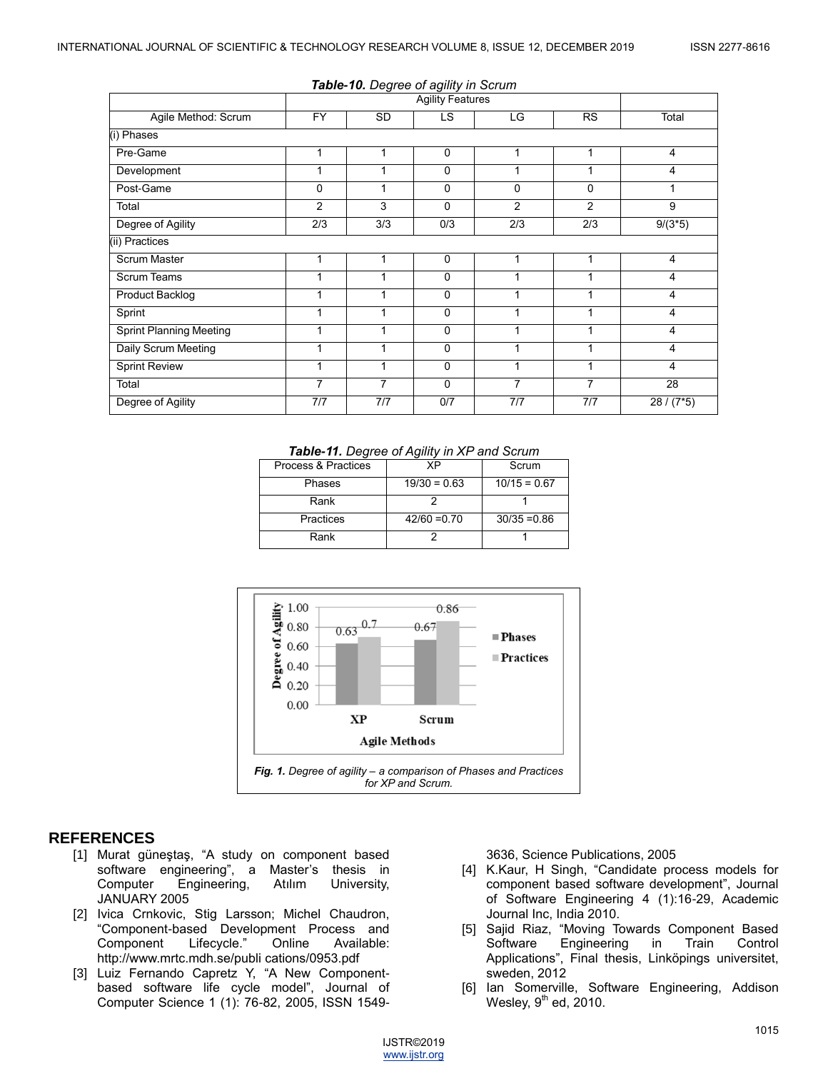|                                |                         | <b>Table-10.</b> Degree of agility in Scrum |          |                |                |              |
|--------------------------------|-------------------------|---------------------------------------------|----------|----------------|----------------|--------------|
|                                | <b>Agility Features</b> |                                             |          |                |                |              |
| Agile Method: Scrum            | <b>FY</b>               | <b>SD</b>                                   | LS.      | LG             | <b>RS</b>      | Total        |
| (i) Phases                     |                         |                                             |          |                |                |              |
| Pre-Game                       | 1                       | 1                                           | 0        |                |                | 4            |
| Development                    | 1                       | 1                                           | $\Omega$ |                |                | 4            |
| Post-Game                      | $\Omega$                | 1                                           | $\Omega$ | $\Omega$       | $\Omega$       |              |
| Total                          | $\overline{2}$          | 3                                           | $\Omega$ | $\overline{2}$ | $\overline{2}$ | 9            |
| Degree of Agility              | 2/3                     | 3/3                                         | 0/3      | 2/3            | 2/3            | $9/(3*5)$    |
| (ii) Practices                 |                         |                                             |          |                |                |              |
| Scrum Master                   | 1                       | 1                                           | 0        |                |                | 4            |
| <b>Scrum Teams</b>             | 1                       | 1                                           | $\Omega$ |                |                | 4            |
| Product Backlog                | 1                       | 1                                           | $\Omega$ |                |                | 4            |
| Sprint                         | 1                       | 1                                           | $\Omega$ |                |                | 4            |
| <b>Sprint Planning Meeting</b> | 1                       | 1                                           | $\Omega$ |                |                | 4            |
| Daily Scrum Meeting            | 1                       | 1                                           | $\Omega$ |                |                | 4            |
| <b>Sprint Review</b>           | 1                       | 1                                           | $\Omega$ |                |                | 4            |
| Total                          | 7                       | $\overline{7}$                              | $\Omega$ | 7              | 7              | 28           |
| Degree of Agility              | 7/7                     | 7/7                                         | 0/7      | 7/7            | 7/7            | $28 / (7*5)$ |

# *Table-10. Degree of agility in Scrum*

*Table-11. Degree of Agility in XP and Scrum*

| Process & Practices | ΧP             | Scrum          |  |  |
|---------------------|----------------|----------------|--|--|
| Phases              | $19/30 = 0.63$ | $10/15 = 0.67$ |  |  |
| Rank                |                |                |  |  |
| Practices           | $42/60 = 0.70$ | $30/35 = 0.86$ |  |  |
| Rank                |                |                |  |  |



#### **REFERENCES**

- [1] Murat güneştaş, "A study on component based software engineering", a Master's thesis in Computer Engineering, Atılım University, JANUARY 2005
- [2] Ivica Crnkovic, Stig Larsson; Michel Chaudron, "Component-based Development Process and<br>Component Lifecycle." Online Available: Component Lifecycle." Online Available: http://www.mrtc.mdh.se/publi cations/0953.pdf
- [3] Luiz Fernando Capretz Y, "A New Componentbased software life cycle model", Journal of Computer Science 1 (1): 76-82, 2005, ISSN 1549-

3636, Science Publications, 2005

- [4] K.Kaur, H Singh, "Candidate process models for component based software development", Journal of Software Engineering 4 (1):16-29, Academic Journal Inc, India 2010.
- [5] Sajid Riaz, "Moving Towards Component Based Software Engineering in Train Control Applications", Final thesis, Linköpings universitet, sweden, 2012
- [6] Ian Somerville, Software Engineering, Addison Wesley,  $9^{\text{th}}$  ed, 2010.